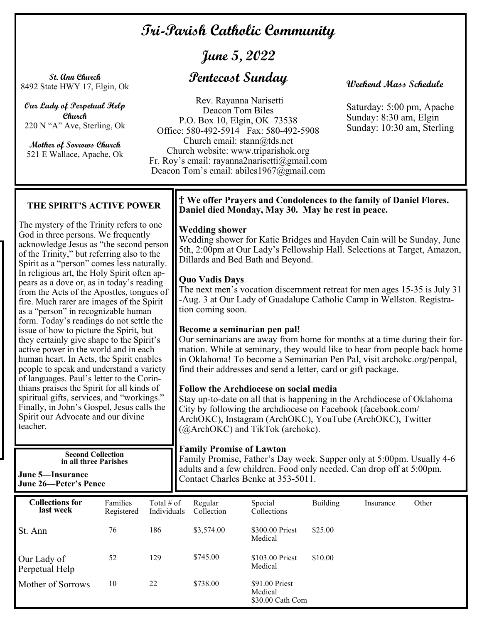# **Tri-Parish Catholic Community**

# **June 5, 2022**

**St. Ann Church**  8492 State HWY 17, Elgin, Ok

**Our Lady of Perpetual Help Church**  220 N "A" Ave, Sterling, Ok

**Mother of Sorrows Church**  521 E Wallace, Apache, Ok

# **Pentecost Sunday**

Rev. Rayanna Narisetti Deacon Tom Biles P.O. Box 10, Elgin, OK 73538 Office: 580-492-5914 Fax: 580-492-5908 Church email: stann@tds.net Church website: www.triparishok.org Fr. Roy's email: rayanna2narisetti@gmail.com Deacon Tom's email: abiles1967@gmail.com

# **Weekend Mass Schedule**

Saturday: 5:00 pm, Apache Sunday: 8:30 am, Elgin Sunday: 10:30 am, Sterling

# **THE SPIRIT'S ACTIVE POWER**

The mystery of the Trinity refers to one God in three persons. We frequently acknowledge Jesus as "the second person of the Trinity," but referring also to the Spirit as a "person" comes less naturally. In religious art, the Holy Spirit often appears as a dove or, as in today's reading from the Acts of the Apostles, tongues of fire. Much rarer are images of the Spirit as a "person" in recognizable human form. Today's readings do not settle the issue of how to picture the Spirit, but they certainly give shape to the Spirit's active power in the world and in each human heart. In Acts, the Spirit enables people to speak and understand a variety of languages. Paul's letter to the Corinthians praises the Spirit for all kinds of spiritual gifts, services, and "workings." Finally, in John's Gospel, Jesus calls the Spirit our Advocate and our divine teacher.

> **Second Collection in all three Parishes**

**June 5—Insurance June 26—Peter's Pence** 

## † **We offer Prayers and Condolences to the family of Daniel Flores. Daniel died Monday, May 30. May he rest in peace.**

**Wedding shower** 

Wedding shower for Katie Bridges and Hayden Cain will be Sunday, June 5th, 2:00pm at Our Lady's Fellowship Hall. Selections at Target, Amazon, Dillards and Bed Bath and Beyond.

## **Quo Vadis Days**

The next men's vocation discernment retreat for men ages 15-35 is July 31 -Aug. 3 at Our Lady of Guadalupe Catholic Camp in Wellston. Registration coming soon.

### **Become a seminarian pen pal!**

Our seminarians are away from home for months at a time during their formation. While at seminary, they would like to hear from people back home in Oklahoma! To become a Seminarian Pen Pal, visit archokc.org/penpal, find their addresses and send a letter, card or gift package.

## **Follow the Archdiocese on social media**

Stay up-to-date on all that is happening in the Archdiocese of Oklahoma City by following the archdiocese on Facebook (facebook.com/ ArchOKC), Instagram (ArchOKC), YouTube (ArchOKC), Twitter (@ArchOKC) and TikTok (archokc).

#### **Family Promise of Lawton**

Family Promise, Father's Day week. Supper only at 5:00pm. Usually 4-6 adults and a few children. Food only needed. Can drop off at 5:00pm. Contact Charles Benke at 353-5011.

| <b>Collections for</b><br>last week | Families<br>Registered | Total $#$ of<br>Individuals | Regular<br>Collection | Special<br>Collections                        | <b>Building</b> | Insurance | Other |
|-------------------------------------|------------------------|-----------------------------|-----------------------|-----------------------------------------------|-----------------|-----------|-------|
| St. Ann                             | 76                     | 186                         | \$3,574.00            | \$300.00 Priest<br>Medical                    | \$25.00         |           |       |
| Our Lady of<br>Perpetual Help       | 52                     | 129                         | \$745.00              | \$103.00 Priest<br>Medical                    | \$10.00         |           |       |
| Mother of Sorrows                   | 10                     | 22                          | \$738.00              | \$91.00 Priest<br>Medical<br>\$30.00 Cath Com |                 |           |       |